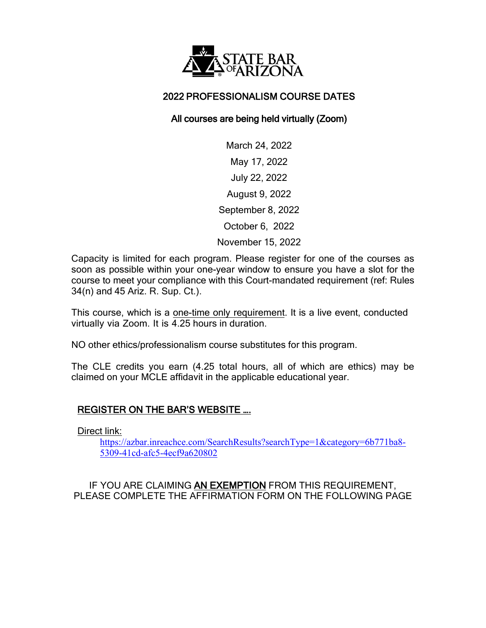

## 2022 PROFESSIONALISM COURSE DATES

## All courses are being held virtually (Zoom)

March 24, 2022 May 17, 2022 July 22, 2022 August 9, 2022 September 8, 2022 October 6, 2022 November 15, 2022

Capacity is limited for each program. Please register for one of the courses as soon as possible within your one-year window to ensure you have a slot for the course to meet your compliance with this Court-mandated requirement (ref: Rules 34(n) and 45 Ariz. R. Sup. Ct.).

This course, which is a one-time only requirement. It is a live event, conducted virtually via Zoom. It is 4.25 hours in duration.

NO other ethics/professionalism course substitutes for this program.

The CLE credits you earn (4.25 total hours, all of which are ethics) may be claimed on your MCLE affidavit in the applicable educational year.

## REGISTER ON THE BAR'S WEBSITE ….

Direct link:

[https://azbar.inreachce.com/SearchResults?searchType=1&category=6b771ba8-](https://azbar.inreachce.com/SearchResults?searchType=1&category=6b771ba8-5309-41cd-afc5-4ecf9a620802) [5309-41cd-afc5-4ecf9a620802](https://azbar.inreachce.com/SearchResults?searchType=1&category=6b771ba8-5309-41cd-afc5-4ecf9a620802)

IF YOU ARE CLAIMING AN EXEMPTION FROM THIS REQUIREMENT, PLEASE COMPLETE THE AFFIRMATION FORM ON THE FOLLOWING PAGE